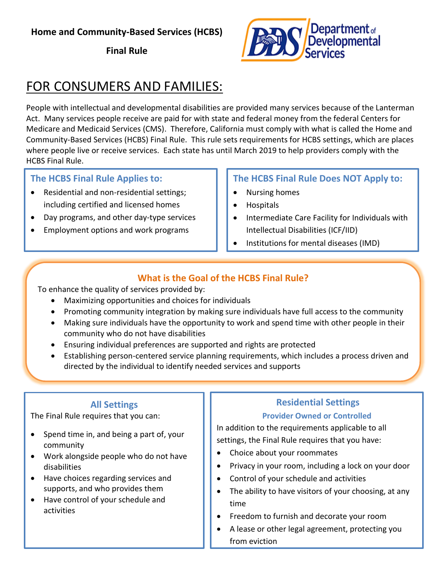## **Home and Community-Based Services (HCBS)**

**Final Rule**



# FOR CONSUMERS AND FAMILIES:

People with intellectual and developmental disabilities are provided many services because of the Lanterman Act. Many services people receive are paid for with state and federal money from the federal Centers for Medicare and Medicaid Services (CMS). Therefore, California must comply with what is called the Home and Community-Based Services (HCBS) Final Rule. This rule sets requirements for HCBS settings, which are places where people live or receive services. Each state has until March 2019 to help providers comply with the HCBS Final Rule.

## **The HCBS Final Rule Applies to:**

- Residential and non-residential settings; including certified and licensed homes
- Day programs, and other day-type services
- Employment options and work programs

#### **The HCBS Final Rule Does NOT Apply to:**

- Nursing homes
- Hospitals
- **•** Intermediate Care Facility for Individuals with Intellectual Disabilities (ICF/IID)
- Institutions for mental diseases (IMD)

## **What is the Goal of the HCBS Final Rule?**

To enhance the quality of services provided by:

- Maximizing opportunities and choices for individuals
- Promoting community integration by making sure individuals have full access to the community
- Making sure individuals have the opportunity to work and spend time with other people in their community who do not have disabilities
- Ensuring individual preferences are supported and rights are protected
- Establishing person-centered service planning requirements, which includes a process driven and directed by the individual to identify needed services and supports

## **All Settings**

The Final Rule requires that you can:

- Spend time in, and being a part of, your community
- Work alongside people who do not have disabilities
- Have choices regarding services and supports, and who provides them
- Have control of your schedule and activities

## **Residential Settings**

#### **Provider Owned or Controlled**

In addition to the requirements applicable to all settings, the Final Rule requires that you have:

- Choice about your roommates
- Privacy in your room, including a lock on your door
- Control of your schedule and activities
- The ability to have visitors of your choosing, at any time
- Freedom to furnish and decorate your room
- A lease or other legal agreement, protecting you from eviction